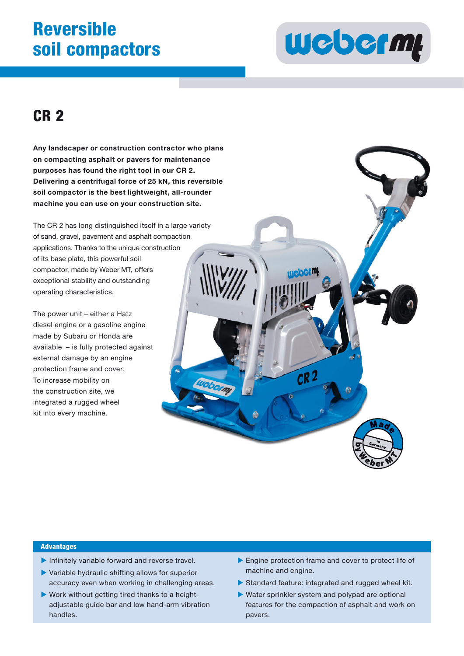## **Reversible soil compactors**



## **CR 2**

**Any landscaper or construction contractor who plans on compacting asphalt or pavers for maintenance s purposes has found the right tool in our CR 2. Delivering a centrifugal force of 25 kN, this reversible soil compactor is the best lightweight, all-rounder machine you can use on your construction site. ol in our CR 2.<br>f 25 kN, this reve<br>weight, all-roun<br>onstruction site.** 

The CR 2 has long distinguished itself in a large variety of sand, gravel, pavement and asphalt compaction applications. Thanks to the unique construction<br>of its base plate, this powerful soil<br>compactor, made by Weber MT, offers<br>exceptional stability and outstanding of its base plate, this powerful soil compactor, made by Weber MT, offers exceptional stability and outstanding operating characteristics.

The power unit – either a Hatz diesel engine or a gasoline engine made by Subaru or Honda are available - is fully protected against external damage by an engine protection frame and cover. To increase mobility on the construction site, we integrated a rugged wheel kit into every machine.



#### **Advantages**

- $\blacktriangleright$  Infinitely variable forward and reverse travel.
- Variable hydraulic shifting allows for superior accuracy even when working in challenging areas.
- Work without getting tired thanks to a heightadjustable guide bar and low hand-arm vibration handles.
- Engine protection frame and cover to protect life of machine and engine.
- Standard feature: integrated and rugged wheel kit.
- Water sprinkler system and polypad are optional features for the compaction of asphalt and work on pavers.